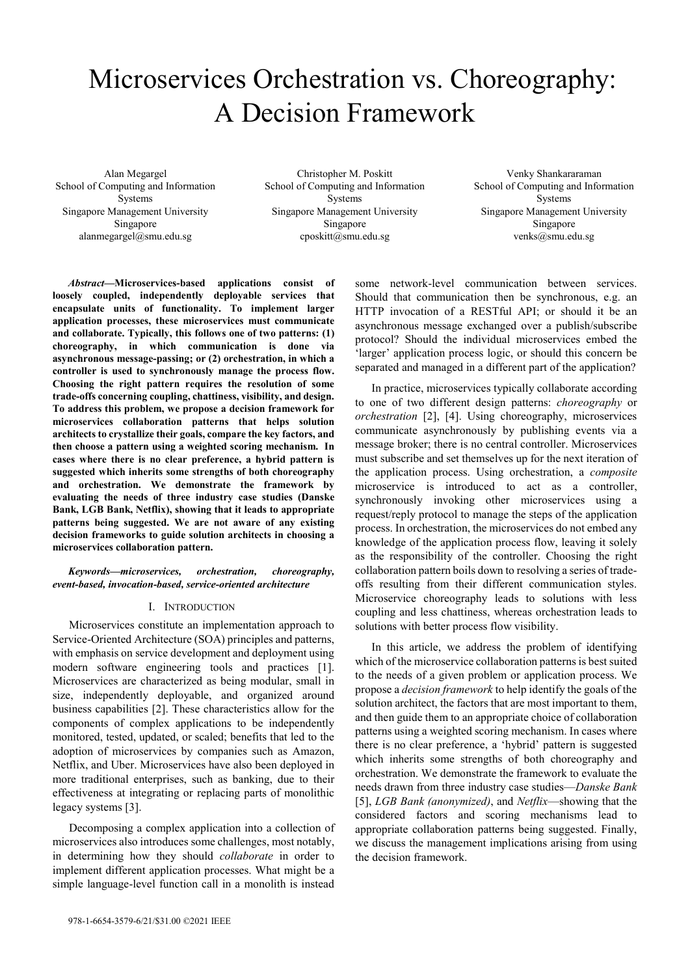# Microservices Orchestration vs. Choreography: A Decision Framework

Alan Megargel School of Computing and Information Systems Singapore Management University Singapore alanmegargel@smu.edu.sg

Christopher M. Poskitt School of Computing and Information Systems Singapore Management University Singapore cposkitt@smu.edu.sg

Venky Shankararaman School of Computing and Information Systems Singapore Management University Singapore venks@smu.edu.sg

*Abstract***—Microservices-based applications consist of loosely coupled, independently deployable services that encapsulate units of functionality. To implement larger application processes, these microservices must communicate and collaborate. Typically, this follows one of two patterns: (1) choreography, in which communication is done via asynchronous message-passing; or (2) orchestration, in which a controller is used to synchronously manage the process flow. Choosing the right pattern requires the resolution of some trade-offs concerning coupling, chattiness, visibility, and design. To address this problem, we propose a decision framework for microservices collaboration patterns that helps solution architects to crystallize their goals, compare the key factors, and then choose a pattern using a weighted scoring mechanism. In cases where there is no clear preference, a hybrid pattern is suggested which inherits some strengths of both choreography and orchestration. We demonstrate the framework by evaluating the needs of three industry case studies (Danske Bank, LGB Bank, Netflix), showing that it leads to appropriate patterns being suggested. We are not aware of any existing decision frameworks to guide solution architects in choosing a microservices collaboration pattern.**

## *Keywords—microservices, orchestration, choreography, event-based, invocation-based, service-oriented architecture*

## I. INTRODUCTION

Microservices constitute an implementation approach to Service-Oriented Architecture (SOA) principles and patterns, with emphasis on service development and deployment using modern software engineering tools and practices [1]. Microservices are characterized as being modular, small in size, independently deployable, and organized around business capabilities [2]. These characteristics allow for the components of complex applications to be independently monitored, tested, updated, or scaled; benefits that led to the adoption of microservices by companies such as Amazon, Netflix, and Uber. Microservices have also been deployed in more traditional enterprises, such as banking, due to their effectiveness at integrating or replacing parts of monolithic legacy systems [3].

Decomposing a complex application into a collection of microservices also introduces some challenges, most notably, in determining how they should *collaborate* in order to implement different application processes. What might be a simple language-level function call in a monolith is instead

some network-level communication between services. Should that communication then be synchronous, e.g. an HTTP invocation of a RESTful API; or should it be an asynchronous message exchanged over a publish/subscribe protocol? Should the individual microservices embed the 'larger' application process logic, or should this concern be separated and managed in a different part of the application?

In practice, microservices typically collaborate according to one of two different design patterns: *choreography* or *orchestration* [2], [4]. Using choreography, microservices communicate asynchronously by publishing events via a message broker; there is no central controller. Microservices must subscribe and set themselves up for the next iteration of the application process. Using orchestration, a *composite* microservice is introduced to act as a controller, synchronously invoking other microservices using a request/reply protocol to manage the steps of the application process. In orchestration, the microservices do not embed any knowledge of the application process flow, leaving it solely as the responsibility of the controller. Choosing the right collaboration pattern boils down to resolving a series of tradeoffs resulting from their different communication styles. Microservice choreography leads to solutions with less coupling and less chattiness, whereas orchestration leads to solutions with better process flow visibility.

In this article, we address the problem of identifying which of the microservice collaboration patterns is best suited to the needs of a given problem or application process. We propose a *decision framework* to help identify the goals of the solution architect, the factors that are most important to them, and then guide them to an appropriate choice of collaboration patterns using a weighted scoring mechanism. In cases where there is no clear preference, a 'hybrid' pattern is suggested which inherits some strengths of both choreography and orchestration. We demonstrate the framework to evaluate the needs drawn from three industry case studies—*Danske Bank* [5], *LGB Bank (anonymized)*, and *Netflix*—showing that the considered factors and scoring mechanisms lead to appropriate collaboration patterns being suggested. Finally, we discuss the management implications arising from using the decision framework.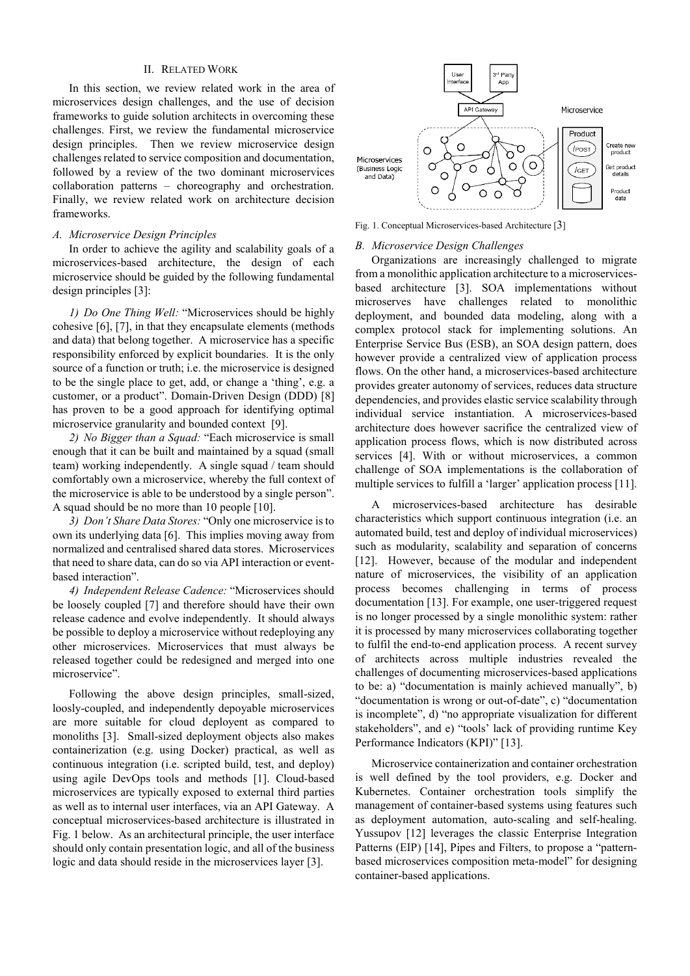## II. RELATED WORK

In this section, we review related work in the area of microservices design challenges, and the use of decision frameworks to guide solution architects in overcoming these challenges. First, we review the fundamental microservice design principles. Then we review microservice design challenges related to service composition and documentation, followed by a review of the two dominant microservices collaboration patterns – choreography and orchestration. Finally, we review related work on architecture decision frameworks.

# *A. Microservice Design Principles*

In order to achieve the agility and scalability goals of a microservices-based architecture, the design of each microservice should be guided by the following fundamental design principles [3]:

*1) Do One Thing Well:* "Microservices should be highly cohesive [6], [7], in that they encapsulate elements (methods and data) that belong together. A microservice has a specific responsibility enforced by explicit boundaries. It is the only source of a function or truth; i.e. the microservice is designed to be the single place to get, add, or change a 'thing', e.g. a customer, or a product". Domain-Driven Design (DDD) [8] has proven to be a good approach for identifying optimal microservice granularity and bounded context [9].

*2) No Bigger than a Squad:* "Each microservice is small enough that it can be built and maintained by a squad (small team) working independently. A single squad / team should comfortably own a microservice, whereby the full context of the microservice is able to be understood by a single person". A squad should be no more than 10 people [10].

*3) Don't Share Data Stores:* "Only one microservice is to own its underlying data [6]. This implies moving away from normalized and centralised shared data stores. Microservices that need to share data, can do so via API interaction or eventbased interaction".

*4) Independent Release Cadence:* "Microservices should be loosely coupled [7] and therefore should have their own release cadence and evolve independently. It should always be possible to deploy a microservice without redeploying any other microservices. Microservices that must always be released together could be redesigned and merged into one microservice".

Following the above design principles, small-sized, loosly-coupled, and independently depoyable microservices are more suitable for cloud deployent as compared to monoliths [3]. Small-sized deployment objects also makes containerization (e.g. using Docker) practical, as well as continuous integration (i.e. scripted build, test, and deploy) using agile DevOps tools and methods [1]. Cloud-based microservices are typically exposed to external third parties as well as to internal user interfaces, via an API Gateway. A conceptual microservices-based architecture is illustrated in Fig. 1 below. As an architectural principle, the user interface should only contain presentation logic, and all of the business logic and data should reside in the microservices layer [3].



Fig. 1. Conceptual Microservices-based Architecture [3]

### *B. Microservice Design Challenges*

Organizations are increasingly challenged to migrate from a monolithic application architecture to a microservicesbased architecture [3]. SOA implementations without microserves have challenges related to monolithic deployment, and bounded data modeling, along with a complex protocol stack for implementing solutions. An Enterprise Service Bus (ESB), an SOA design pattern, does however provide a centralized view of application process flows. On the other hand, a microservices-based architecture provides greater autonomy of services, reduces data structure dependencies, and provides elastic service scalability through individual service instantiation. A microservices-based architecture does however sacrifice the centralized view of application process flows, which is now distributed across services [4]. With or without microservices, a common challenge of SOA implementations is the collaboration of multiple services to fulfill a 'larger' application process [11].

A microservices-based architecture has desirable characteristics which support continuous integration (i.e. an automated build, test and deploy of individual microservices) such as modularity, scalability and separation of concerns [12]. However, because of the modular and independent nature of microservices, the visibility of an application process becomes challenging in terms of process documentation [13]. For example, one user-triggered request is no longer processed by a single monolithic system: rather it is processed by many microservices collaborating together to fulfil the end-to-end application process. A recent survey of architects across multiple industries revealed the challenges of documenting microservices-based applications to be: a) "documentation is mainly achieved manually", b) "documentation is wrong or out-of-date", c) "documentation is incomplete", d) "no appropriate visualization for different stakeholders", and e) "tools' lack of providing runtime Key Performance Indicators (KPI)" [13].

Microservice containerization and container orchestration is well defined by the tool providers, e.g. Docker and Kubernetes. Container orchestration tools simplify the management of container-based systems using features such as deployment automation, auto-scaling and self-healing. Yussupov [12] leverages the classic Enterprise Integration Patterns (EIP) [14], Pipes and Filters, to propose a "patternbased microservices composition meta-model" for designing container-based applications.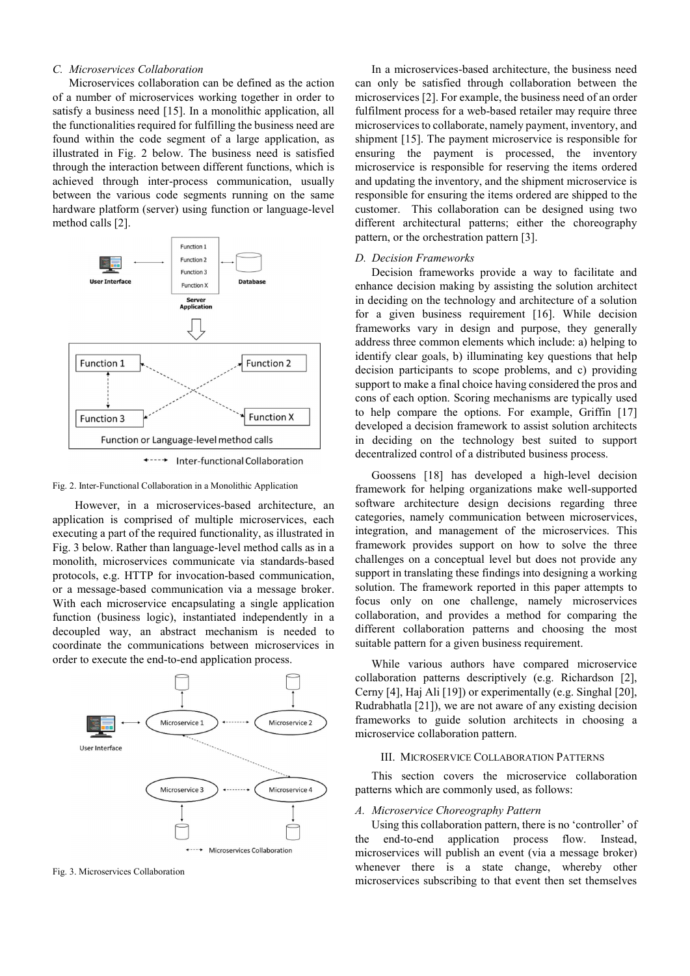# *C. Microservices Collaboration*

Microservices collaboration can be defined as the action of a number of microservices working together in order to satisfy a business need [15]. In a monolithic application, all the functionalities required for fulfilling the business need are found within the code segment of a large application, as illustrated in Fig. 2 below. The business need is satisfied through the interaction between different functions, which is achieved through inter-process communication, usually between the various code segments running on the same hardware platform (server) using function or language-level method calls [2].



Fig. 2. Inter-Functional Collaboration in a Monolithic Application

 However, in a microservices-based architecture, an application is comprised of multiple microservices, each executing a part of the required functionality, as illustrated in Fig. 3 below. Rather than language-level method calls as in a monolith, microservices communicate via standards-based protocols, e.g. HTTP for invocation-based communication, or a message-based communication via a message broker. With each microservice encapsulating a single application function (business logic), instantiated independently in a decoupled way, an abstract mechanism is needed to coordinate the communications between microservices in order to execute the end-to-end application process.



Fig. 3. Microservices Collaboration

In a microservices-based architecture, the business need can only be satisfied through collaboration between the microservices [2]. For example, the business need of an order fulfilment process for a web-based retailer may require three microservices to collaborate, namely payment, inventory, and shipment [15]. The payment microservice is responsible for ensuring the payment is processed, the inventory microservice is responsible for reserving the items ordered and updating the inventory, and the shipment microservice is responsible for ensuring the items ordered are shipped to the customer. This collaboration can be designed using two different architectural patterns; either the choreography pattern, or the orchestration pattern [3].

#### *D. Decision Frameworks*

Decision frameworks provide a way to facilitate and enhance decision making by assisting the solution architect in deciding on the technology and architecture of a solution for a given business requirement [16]. While decision frameworks vary in design and purpose, they generally address three common elements which include: a) helping to identify clear goals, b) illuminating key questions that help decision participants to scope problems, and c) providing support to make a final choice having considered the pros and cons of each option. Scoring mechanisms are typically used to help compare the options. For example, Griffin [17] developed a decision framework to assist solution architects in deciding on the technology best suited to support decentralized control of a distributed business process.

Goossens [18] has developed a high-level decision framework for helping organizations make well-supported software architecture design decisions regarding three categories, namely communication between microservices, integration, and management of the microservices. This framework provides support on how to solve the three challenges on a conceptual level but does not provide any support in translating these findings into designing a working solution. The framework reported in this paper attempts to focus only on one challenge, namely microservices collaboration, and provides a method for comparing the different collaboration patterns and choosing the most suitable pattern for a given business requirement.

While various authors have compared microservice collaboration patterns descriptively (e.g. Richardson [2], Cerny [4], Haj Ali [19]) or experimentally (e.g. Singhal [20], Rudrabhatla [21]), we are not aware of any existing decision frameworks to guide solution architects in choosing a microservice collaboration pattern.

#### III. MICROSERVICE COLLABORATION PATTERNS

This section covers the microservice collaboration patterns which are commonly used, as follows:

#### *A. Microservice Choreography Pattern*

Using this collaboration pattern, there is no 'controller' of the end-to-end application process flow. Instead, microservices will publish an event (via a message broker) whenever there is a state change, whereby other microservices subscribing to that event then set themselves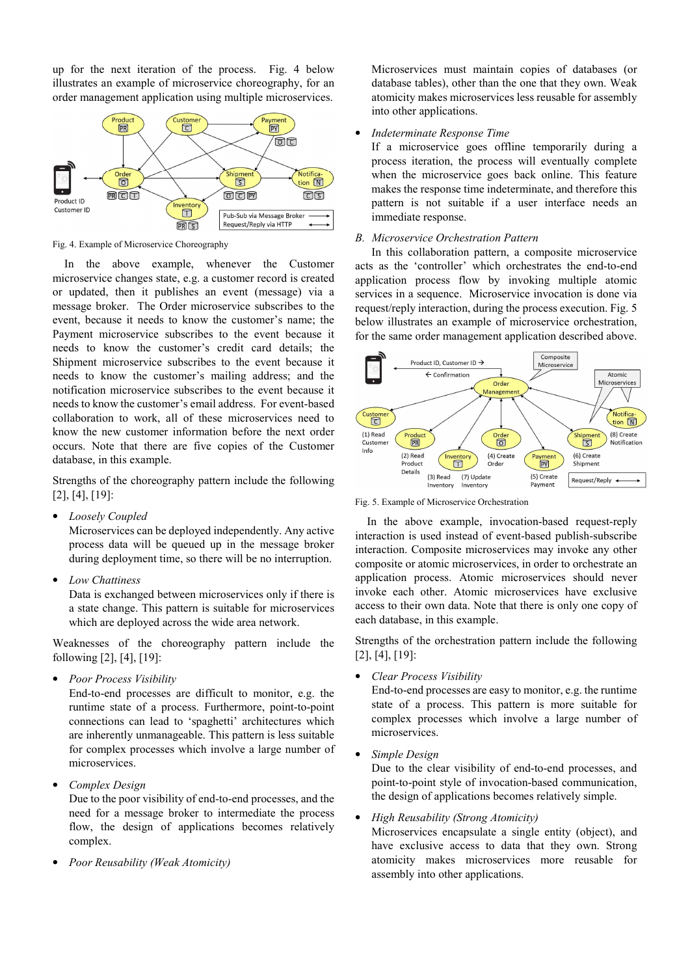up for the next iteration of the process. Fig. 4 below illustrates an example of microservice choreography, for an order management application using multiple microservices.



Fig. 4. Example of Microservice Choreography

In the above example, whenever the Customer microservice changes state, e.g. a customer record is created or updated, then it publishes an event (message) via a message broker. The Order microservice subscribes to the event, because it needs to know the customer's name; the Payment microservice subscribes to the event because it needs to know the customer's credit card details; the Shipment microservice subscribes to the event because it needs to know the customer's mailing address; and the notification microservice subscribes to the event because it needs to know the customer's email address. For event-based collaboration to work, all of these microservices need to know the new customer information before the next order occurs. Note that there are five copies of the Customer database, in this example.

Strengths of the choreography pattern include the following [2], [4], [19]:

• *Loosely Coupled* 

Microservices can be deployed independently. Any active process data will be queued up in the message broker during deployment time, so there will be no interruption.

• *Low Chattiness* 

Data is exchanged between microservices only if there is a state change. This pattern is suitable for microservices which are deployed across the wide area network.

Weaknesses of the choreography pattern include the following [2], [4], [19]:

• *Poor Process Visibility* 

End-to-end processes are difficult to monitor, e.g. the runtime state of a process. Furthermore, point-to-point connections can lead to 'spaghetti' architectures which are inherently unmanageable. This pattern is less suitable for complex processes which involve a large number of microservices.

• *Complex Design* 

Due to the poor visibility of end-to-end processes, and the need for a message broker to intermediate the process flow, the design of applications becomes relatively complex.

• *Poor Reusability (Weak Atomicity)* 

Microservices must maintain copies of databases (or database tables), other than the one that they own. Weak atomicity makes microservices less reusable for assembly into other applications.

## • *Indeterminate Response Time*

If a microservice goes offline temporarily during a process iteration, the process will eventually complete when the microservice goes back online. This feature makes the response time indeterminate, and therefore this pattern is not suitable if a user interface needs an immediate response.

## *B. Microservice Orchestration Pattern*

In this collaboration pattern, a composite microservice acts as the 'controller' which orchestrates the end-to-end application process flow by invoking multiple atomic services in a sequence. Microservice invocation is done via request/reply interaction, during the process execution. Fig. 5 below illustrates an example of microservice orchestration, for the same order management application described above.



Fig. 5. Example of Microservice Orchestration

In the above example, invocation-based request-reply interaction is used instead of event-based publish-subscribe interaction. Composite microservices may invoke any other composite or atomic microservices, in order to orchestrate an application process. Atomic microservices should never invoke each other. Atomic microservices have exclusive access to their own data. Note that there is only one copy of each database, in this example.

Strengths of the orchestration pattern include the following [2], [4], [19]:

• *Clear Process Visibility* 

End-to-end processes are easy to monitor, e.g. the runtime state of a process. This pattern is more suitable for complex processes which involve a large number of microservices.

• *Simple Design* 

Due to the clear visibility of end-to-end processes, and point-to-point style of invocation-based communication, the design of applications becomes relatively simple.

• *High Reusability (Strong Atomicity)* 

Microservices encapsulate a single entity (object), and have exclusive access to data that they own. Strong atomicity makes microservices more reusable for assembly into other applications.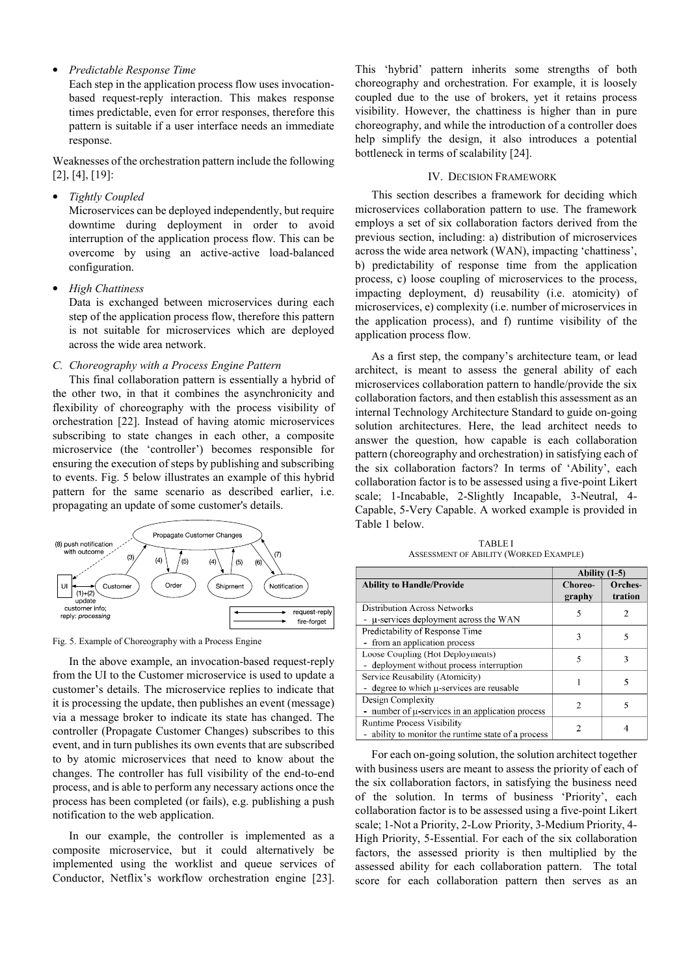• *Predictable Response Time* 

Each step in the application process flow uses invocationbased request-reply interaction. This makes response times predictable, even for error responses, therefore this pattern is suitable if a user interface needs an immediate response.

Weaknesses of the orchestration pattern include the following [2], [4], [19]:

• *Tightly Coupled* 

Microservices can be deployed independently, but require downtime during deployment in order to avoid interruption of the application process flow. This can be overcome by using an active-active load-balanced configuration.

• *High Chattiness* 

Data is exchanged between microservices during each step of the application process flow, therefore this pattern is not suitable for microservices which are deployed across the wide area network.

## *C. Choreography with a Process Engine Pattern*

This final collaboration pattern is essentially a hybrid of the other two, in that it combines the asynchronicity and flexibility of choreography with the process visibility of orchestration [22]. Instead of having atomic microservices subscribing to state changes in each other, a composite microservice (the 'controller') becomes responsible for ensuring the execution of steps by publishing and subscribing to events. Fig. 5 below illustrates an example of this hybrid pattern for the same scenario as described earlier, i.e. propagating an update of some customer's details.



Fig. 5. Example of Choreography with a Process Engine

In the above example, an invocation-based request-reply from the UI to the Customer microservice is used to update a customer's details. The microservice replies to indicate that it is processing the update, then publishes an event (message) via a message broker to indicate its state has changed. The controller (Propagate Customer Changes) subscribes to this event, and in turn publishes its own events that are subscribed to by atomic microservices that need to know about the changes. The controller has full visibility of the end-to-end process, and is able to perform any necessary actions once the process has been completed (or fails), e.g. publishing a push notification to the web application.

In our example, the controller is implemented as a composite microservice, but it could alternatively be implemented using the worklist and queue services of Conductor, Netflix's workflow orchestration engine [23].

This 'hybrid' pattern inherits some strengths of both choreography and orchestration. For example, it is loosely coupled due to the use of brokers, yet it retains process visibility. However, the chattiness is higher than in pure choreography, and while the introduction of a controller does help simplify the design, it also introduces a potential bottleneck in terms of scalability [24].

## IV. DECISION FRAMEWORK

This section describes a framework for deciding which microservices collaboration pattern to use. The framework employs a set of six collaboration factors derived from the previous section, including: a) distribution of microservices across the wide area network (WAN), impacting 'chattiness', b) predictability of response time from the application process, c) loose coupling of microservices to the process, impacting deployment, d) reusability (i.e. atomicity) of microservices, e) complexity (i.e. number of microservices in the application process), and f) runtime visibility of the application process flow.

As a first step, the company's architecture team, or lead architect, is meant to assess the general ability of each microservices collaboration pattern to handle/provide the six collaboration factors, and then establish this assessment as an internal Technology Architecture Standard to guide on-going solution architectures. Here, the lead architect needs to answer the question, how capable is each collaboration pattern (choreography and orchestration) in satisfying each of the six collaboration factors? In terms of 'Ability', each collaboration factor is to be assessed using a five-point Likert scale; 1-Incabable, 2-Slightly Incapable, 3-Neutral, 4- Capable, 5-Very Capable. A worked example is provided in Table 1 below.

TABLE I ASSESSMENT OF ABILITY (WORKED EXAMPLE)

|                                                       | Ability $(1-5)$   |                    |
|-------------------------------------------------------|-------------------|--------------------|
| <b>Ability to Handle/Provide</b>                      | Choreo-<br>graphy | Orches-<br>tration |
| Distribution Across Networks                          | 5                 |                    |
| - µ-services deployment across the WAN                |                   |                    |
| Predictability of Response Time                       | 3                 |                    |
| - from an application process                         |                   |                    |
| Loose Coupling (Hot Deployments)                      | 5                 | ٦                  |
| - deployment without process interruption             |                   |                    |
| Service Reusability (Atomicity)                       |                   | 5                  |
| - degree to which u-services are reusable             |                   |                    |
| Design Complexity                                     | $\mathfrak{Z}$    |                    |
| - number of $\mu$ -services in an application process |                   |                    |
| <b>Runtime Process Visibility</b>                     |                   |                    |
| - ability to monitor the runtime state of a process   |                   |                    |

For each on-going solution, the solution architect together with business users are meant to assess the priority of each of the six collaboration factors, in satisfying the business need of the solution. In terms of business 'Priority', each collaboration factor is to be assessed using a five-point Likert scale; 1-Not a Priority, 2-Low Priority, 3-Medium Priority, 4- High Priority, 5-Essential. For each of the six collaboration factors, the assessed priority is then multiplied by the assessed ability for each collaboration pattern. The total score for each collaboration pattern then serves as an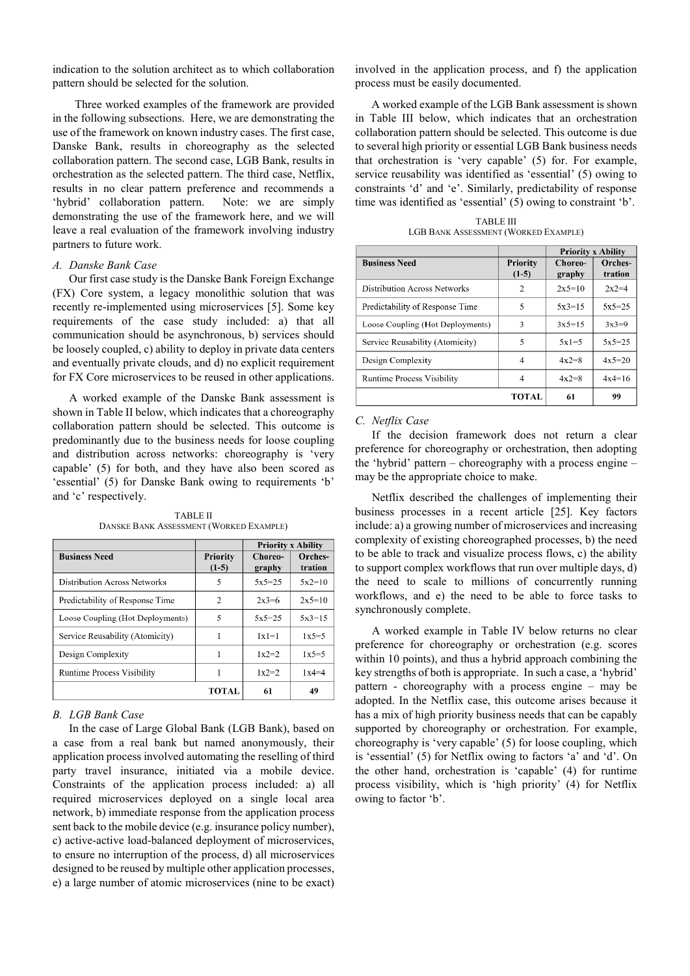indication to the solution architect as to which collaboration pattern should be selected for the solution.

 Three worked examples of the framework are provided in the following subsections. Here, we are demonstrating the use of the framework on known industry cases. The first case, Danske Bank, results in choreography as the selected collaboration pattern. The second case, LGB Bank, results in orchestration as the selected pattern. The third case, Netflix, results in no clear pattern preference and recommends a 'hybrid' collaboration pattern. Note: we are simply demonstrating the use of the framework here, and we will leave a real evaluation of the framework involving industry partners to future work.

#### *A. Danske Bank Case*

Our first case study is the Danske Bank Foreign Exchange (FX) Core system, a legacy monolithic solution that was recently re-implemented using microservices [5]. Some key requirements of the case study included: a) that all communication should be asynchronous, b) services should be loosely coupled, c) ability to deploy in private data centers and eventually private clouds, and d) no explicit requirement for FX Core microservices to be reused in other applications.

A worked example of the Danske Bank assessment is shown in Table II below, which indicates that a choreography collaboration pattern should be selected. This outcome is predominantly due to the business needs for loose coupling and distribution across networks: choreography is 'very capable' (5) for both, and they have also been scored as 'essential' (5) for Danske Bank owing to requirements 'b' and 'c' respectively.

| <b>TABLE II</b>                         |  |
|-----------------------------------------|--|
| DANSKE BANK ASSESSMENT (WORKED EXAMPLE) |  |

|                                   |                     | <b>Priority x Ability</b> |                    |
|-----------------------------------|---------------------|---------------------------|--------------------|
| <b>Business Need</b>              | Priority<br>$(1-5)$ | Choreo-<br>graphy         | Orches-<br>tration |
| Distribution Across Networks      | 5                   | $5x5=25$                  | $5x2=10$           |
| Predictability of Response Time   | $\overline{2}$      | $2x3=6$                   | $2x5=10$           |
| Loose Coupling (Hot Deployments)  | 5                   | $5x5=25$                  | $5x3=15$           |
| Service Reusability (Atomicity)   |                     | $1x1=1$                   | $1x5=5$            |
| Design Complexity                 |                     | $1x2=2$                   | $1x5=5$            |
| <b>Runtime Process Visibility</b> | ш                   | $1x2=2$                   | $1x4=4$            |
|                                   | <b>TOTAL</b>        | 61                        | 49                 |

## *B. LGB Bank Case*

In the case of Large Global Bank (LGB Bank), based on a case from a real bank but named anonymously, their application process involved automating the reselling of third party travel insurance, initiated via a mobile device. Constraints of the application process included: a) all required microservices deployed on a single local area network, b) immediate response from the application process sent back to the mobile device (e.g. insurance policy number), c) active-active load-balanced deployment of microservices, to ensure no interruption of the process, d) all microservices designed to be reused by multiple other application processes, e) a large number of atomic microservices (nine to be exact) involved in the application process, and f) the application process must be easily documented.

A worked example of the LGB Bank assessment is shown in Table III below, which indicates that an orchestration collaboration pattern should be selected. This outcome is due to several high priority or essential LGB Bank business needs that orchestration is 'very capable' (5) for. For example, service reusability was identified as 'essential' (5) owing to constraints 'd' and 'e'. Similarly, predictability of response time was identified as 'essential' (5) owing to constraint 'b'.

| <b>TABLE III</b>                            |
|---------------------------------------------|
| <b>LGB BANK ASSESSMENT (WORKED EXAMPLE)</b> |

|                                     |                     | <b>Priority x Ability</b> |                    |
|-------------------------------------|---------------------|---------------------------|--------------------|
| <b>Business Need</b>                | Priority<br>$(1-5)$ | Choreo-<br>graphy         | Orches-<br>tration |
| <b>Distribution Across Networks</b> | 2                   | $2x5=10$                  | $2x2=4$            |
| Predictability of Response Time     | 5                   | $5x3=15$                  | $5x5=25$           |
| Loose Coupling (Hot Deployments)    | 3                   | $3x5=15$                  | $3x3=9$            |
| Service Reusability (Atomicity)     | 5                   | $5x1=5$                   | $5x5=25$           |
| Design Complexity                   | 4                   | $4x2=8$                   | $4x5=20$           |
| Runtime Process Visibility          | 4                   | $4x2=8$                   | $4x4=16$           |
|                                     | TOTAL               | 61                        | 99                 |

#### *C. Netflix Case*

If the decision framework does not return a clear preference for choreography or orchestration, then adopting the 'hybrid' pattern – choreography with a process engine – may be the appropriate choice to make.

Netflix described the challenges of implementing their business processes in a recent article [25]. Key factors include: a) a growing number of microservices and increasing complexity of existing choreographed processes, b) the need to be able to track and visualize process flows, c) the ability to support complex workflows that run over multiple days, d) the need to scale to millions of concurrently running workflows, and e) the need to be able to force tasks to synchronously complete.

A worked example in Table IV below returns no clear preference for choreography or orchestration (e.g. scores within 10 points), and thus a hybrid approach combining the key strengths of both is appropriate. In such a case, a 'hybrid' pattern - choreography with a process engine – may be adopted. In the Netflix case, this outcome arises because it has a mix of high priority business needs that can be capably supported by choreography or orchestration. For example, choreography is 'very capable' (5) for loose coupling, which is 'essential' (5) for Netflix owing to factors 'a' and 'd'. On the other hand, orchestration is 'capable' (4) for runtime process visibility, which is 'high priority' (4) for Netflix owing to factor 'b'.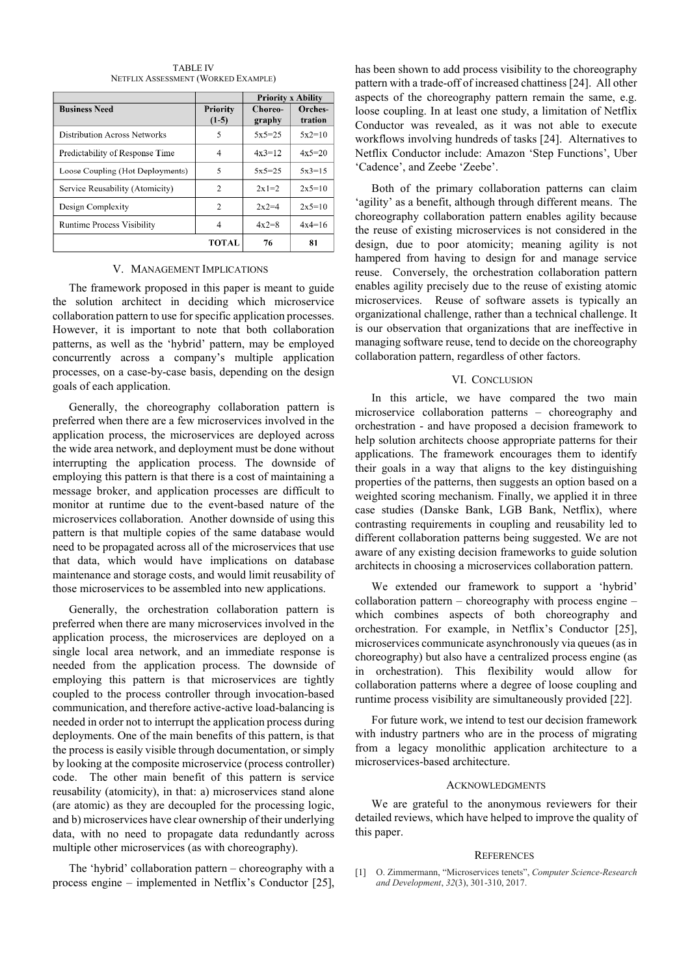|                                   |                     | <b>Priority x Ability</b> |                    |
|-----------------------------------|---------------------|---------------------------|--------------------|
| <b>Business Need</b>              | Priority<br>$(1-5)$ | Choreo-<br>graphy         | Orches-<br>tration |
| Distribution Across Networks      | 5                   | $5x5=25$                  | $5x2=10$           |
| Predictability of Response Time   | 4                   | $4x3=12$                  | $4x5=20$           |
| Loose Coupling (Hot Deployments)  | 5                   | $5x5=25$                  | $5x3=15$           |
| Service Reusability (Atomicity)   | 2                   | $2x1=2$                   | $2x5=10$           |
| Design Complexity                 | 2                   | $2x2=4$                   | $2x5=10$           |
| <b>Runtime Process Visibility</b> | 4                   | $4x2=8$                   | $4x4=16$           |
|                                   | TOTAL               | 76                        | 81                 |

TABLE IV NETFLIX ASSESSMENT (WORKED EXAMPLE)

## V. MANAGEMENT IMPLICATIONS

The framework proposed in this paper is meant to guide the solution architect in deciding which microservice collaboration pattern to use for specific application processes. However, it is important to note that both collaboration patterns, as well as the 'hybrid' pattern, may be employed concurrently across a company's multiple application processes, on a case-by-case basis, depending on the design goals of each application.

Generally, the choreography collaboration pattern is preferred when there are a few microservices involved in the application process, the microservices are deployed across the wide area network, and deployment must be done without interrupting the application process. The downside of employing this pattern is that there is a cost of maintaining a message broker, and application processes are difficult to monitor at runtime due to the event-based nature of the microservices collaboration. Another downside of using this pattern is that multiple copies of the same database would need to be propagated across all of the microservices that use that data, which would have implications on database maintenance and storage costs, and would limit reusability of those microservices to be assembled into new applications.

Generally, the orchestration collaboration pattern is preferred when there are many microservices involved in the application process, the microservices are deployed on a single local area network, and an immediate response is needed from the application process. The downside of employing this pattern is that microservices are tightly coupled to the process controller through invocation-based communication, and therefore active-active load-balancing is needed in order not to interrupt the application process during deployments. One of the main benefits of this pattern, is that the process is easily visible through documentation, or simply by looking at the composite microservice (process controller) code. The other main benefit of this pattern is service reusability (atomicity), in that: a) microservices stand alone (are atomic) as they are decoupled for the processing logic, and b) microservices have clear ownership of their underlying data, with no need to propagate data redundantly across multiple other microservices (as with choreography).

The 'hybrid' collaboration pattern – choreography with a process engine – implemented in Netflix's Conductor [25], has been shown to add process visibility to the choreography pattern with a trade-off of increased chattiness [24]. All other aspects of the choreography pattern remain the same, e.g. loose coupling. In at least one study, a limitation of Netflix Conductor was revealed, as it was not able to execute workflows involving hundreds of tasks [24]. Alternatives to Netflix Conductor include: Amazon 'Step Functions', Uber 'Cadence', and Zeebe 'Zeebe'.

Both of the primary collaboration patterns can claim 'agility' as a benefit, although through different means. The choreography collaboration pattern enables agility because the reuse of existing microservices is not considered in the design, due to poor atomicity; meaning agility is not hampered from having to design for and manage service reuse. Conversely, the orchestration collaboration pattern enables agility precisely due to the reuse of existing atomic microservices. Reuse of software assets is typically an organizational challenge, rather than a technical challenge. It is our observation that organizations that are ineffective in managing software reuse, tend to decide on the choreography collaboration pattern, regardless of other factors.

#### VI. CONCLUSION

In this article, we have compared the two main microservice collaboration patterns – choreography and orchestration - and have proposed a decision framework to help solution architects choose appropriate patterns for their applications. The framework encourages them to identify their goals in a way that aligns to the key distinguishing properties of the patterns, then suggests an option based on a weighted scoring mechanism. Finally, we applied it in three case studies (Danske Bank, LGB Bank, Netflix), where contrasting requirements in coupling and reusability led to different collaboration patterns being suggested. We are not aware of any existing decision frameworks to guide solution architects in choosing a microservices collaboration pattern.

We extended our framework to support a 'hybrid' collaboration pattern – choreography with process engine – which combines aspects of both choreography and orchestration. For example, in Netflix's Conductor [25], microservices communicate asynchronously via queues (as in choreography) but also have a centralized process engine (as in orchestration). This flexibility would allow for collaboration patterns where a degree of loose coupling and runtime process visibility are simultaneously provided [22].

For future work, we intend to test our decision framework with industry partners who are in the process of migrating from a legacy monolithic application architecture to a microservices-based architecture.

#### ACKNOWLEDGMENTS

We are grateful to the anonymous reviewers for their detailed reviews, which have helped to improve the quality of this paper.

#### **REFERENCES**

[1] O. Zimmermann, "Microservices tenets", *Computer Science-Research and Development*, *32*(3), 301-310, 2017.